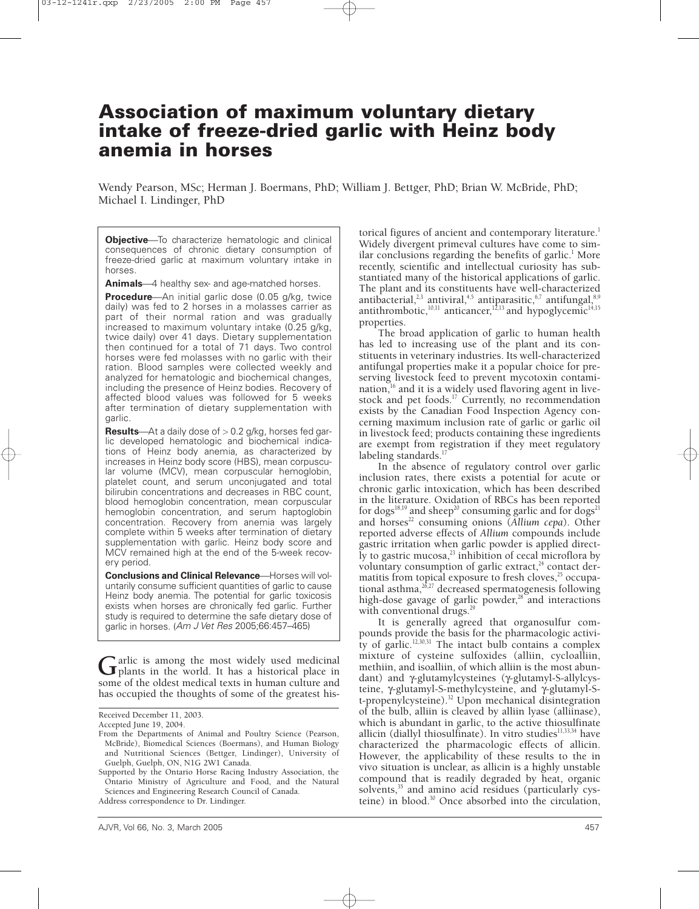# **Association of maximum voluntary dietary intake of freeze-dried garlic with Heinz body anemia in horses**

Wendy Pearson, MSc; Herman J. Boermans, PhD; William J. Bettger, PhD; Brian W. McBride, PhD; Michael I. Lindinger, PhD

**Objective**—To characterize hematologic and clinical consequences of chronic dietary consumption of freeze-dried garlic at maximum voluntary intake in horses.

**Animals**—4 healthy sex- and age-matched horses.

**Procedure**—An initial garlic dose (0.05 g/kg, twice daily) was fed to 2 horses in a molasses carrier as part of their normal ration and was gradually increased to maximum voluntary intake (0.25 g/kg, twice daily) over 41 days. Dietary supplementation then continued for a total of 71 days. Two control horses were fed molasses with no garlic with their ration. Blood samples were collected weekly and analyzed for hematologic and biochemical changes, including the presence of Heinz bodies. Recovery of affected blood values was followed for 5 weeks after termination of dietary supplementation with garlic.

**Results**—At a daily dose of > 0.2 g/kg, horses fed garlic developed hematologic and biochemical indications of Heinz body anemia, as characterized by increases in Heinz body score (HBS), mean corpuscular volume (MCV), mean corpuscular hemoglobin, platelet count, and serum unconjugated and total bilirubin concentrations and decreases in RBC count, blood hemoglobin concentration, mean corpuscular hemoglobin concentration, and serum haptoglobin concentration. Recovery from anemia was largely complete within 5 weeks after termination of dietary supplementation with garlic. Heinz body score and MCV remained high at the end of the 5-week recovery period.

**Conclusions and Clinical Relevance** Horses will voluntarily consume sufficient quantities of garlic to cause Heinz body anemia. The potential for garlic toxicosis exists when horses are chronically fed garlic. Further study is required to determine the safe dietary dose of garlic in horses. (Am J Vet Res 2005;66:457–465)

Garlic is among the most widely used medicinal<br>plants in the world. It has a historical place in<br>come of the eldeet medical texts in human sulture and some of the oldest medical texts in human culture and has occupied the thoughts of some of the greatest his-

AJVR, Vol 66, No. 3, March 2005 457

torical figures of ancient and contemporary literature.<sup>1</sup> Widely divergent primeval cultures have come to similar conclusions regarding the benefits of garlic.<sup>1</sup> More recently, scientific and intellectual curiosity has substantiated many of the historical applications of garlic. The plant and its constituents have well-characterized antibacterial,  $2,3$  antiviral,  $4,5$  antiparasitic,  $6,7$  antifungal,  $8,9$ antithrombotic, $10,11$  anticancer, $12,13$  and hypoglycemic<sup>14,15</sup> properties.

The broad application of garlic to human health has led to increasing use of the plant and its constituents in veterinary industries. Its well-characterized antifungal properties make it a popular choice for preserving livestock feed to prevent mycotoxin contamination, $16$  and it is a widely used flavoring agent in livestock and pet foods.<sup>17</sup> Currently, no recommendation exists by the Canadian Food Inspection Agency concerning maximum inclusion rate of garlic or garlic oil in livestock feed; products containing these ingredients are exempt from registration if they meet regulatory labeling standards.<sup>17</sup>

In the absence of regulatory control over garlic inclusion rates, there exists a potential for acute or chronic garlic intoxication, which has been described in the literature. Oxidation of RBCs has been reported for dogs<sup>18,19</sup> and sheep<sup>20</sup> consuming garlic and for dogs<sup>21</sup> and horses<sup>22</sup> consuming onions (Allium cepa). Other reported adverse effects of *Allium* compounds include gastric irritation when garlic powder is applied direct- $\rm\breve{I}$ y to gastric mucosa, $\rm\breve{a}$  inhibition of cecal microflora by voluntary consumption of garlic extract,<sup>24</sup> contact dermatitis from topical exposure to fresh cloves, $25$  occupational asthma, $26,27$  decreased spermatogenesis following high-dose gavage of garlic powder,<sup>28</sup> and interactions with conventional drugs.<sup>29</sup>

It is generally agreed that organosulfur compounds provide the basis for the pharmacologic activity of garlic.<sup>12,30,31</sup> The intact bulb contains a complex mixture of cysteine sulfoxides (alliin, cycloalliin, methiin, and isoalliin, of which alliin is the most abundant) and γ-glutamylcysteines (γ-glutamyl-S-allylcysteine, γ-glutamyl-S-methylcysteine, and γ-glutamyl-S $t$ -propenylcysteine).<sup>32</sup> Upon mechanical disintegration of the bulb, alliin is cleaved by alliin lyase (alliinase), which is abundant in garlic, to the active thiosulfinate allicin (diallyl thiosulfinate). In vitro studies<sup>11,33,34</sup> have characterized the pharmacologic effects of allicin. However, the applicability of these results to the in vivo situation is unclear, as allicin is a highly unstable compound that is readily degraded by heat, organic solvents,<sup>35</sup> and amino acid residues (particularly cysteine) in blood.30 Once absorbed into the circulation,

Received December 11, 2003.

Accepted June 19, 2004.

From the Departments of Animal and Poultry Science (Pearson, McBride), Biomedical Sciences (Boermans), and Human Biology and Nutritional Sciences (Bettger, Lindinger), University of Guelph, Guelph, ON, N1G 2W1 Canada.

Supported by the Ontario Horse Racing Industry Association, the Ontario Ministry of Agriculture and Food, and the Natural Sciences and Engineering Research Council of Canada. Address correspondence to Dr. Lindinger.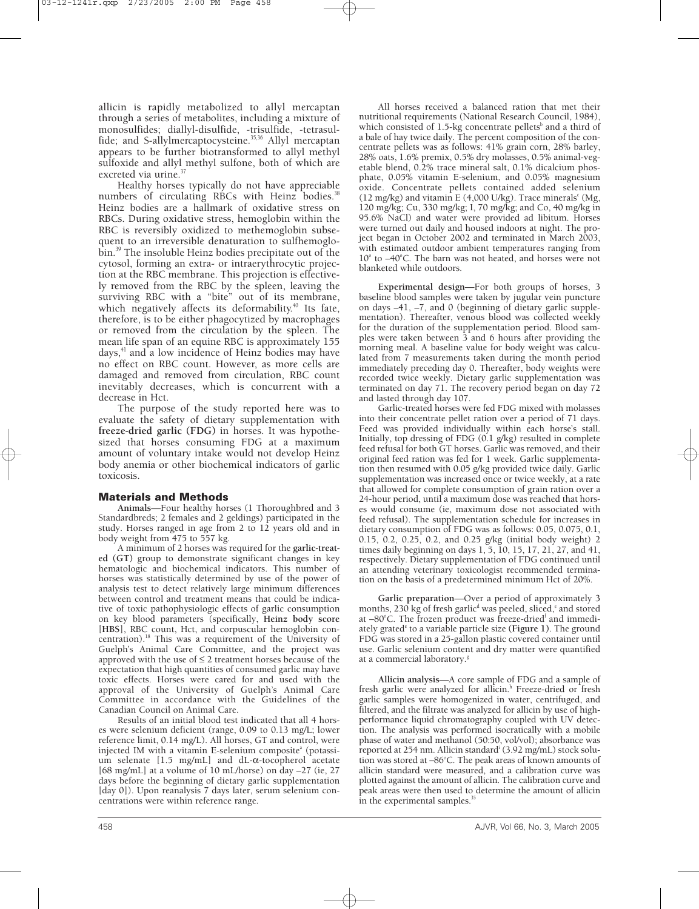allicin is rapidly metabolized to allyl mercaptan through a series of metabolites, including a mixture of monosulfides; diallyl-disulfide, -trisulfide, -tetrasulfide; and S-allylmercaptocysteine.<sup>35,36</sup> Allyl mercaptan appears to be further biotransformed to allyl methyl sulfoxide and allyl methyl sulfone, both of which are excreted via urine.<sup>37</sup>

Healthy horses typically do not have appreciable numbers of circulating RBCs with Heinz bodies.<sup>38</sup> Heinz bodies are a hallmark of oxidative stress on RBCs. During oxidative stress, hemoglobin within the RBC is reversibly oxidized to methemoglobin subsequent to an irreversible denaturation to sulfhemoglobin.39 The insoluble Heinz bodies precipitate out of the cytosol, forming an extra- or intraerythrocytic projection at the RBC membrane. This projection is effectively removed from the RBC by the spleen, leaving the surviving RBC with a "bite" out of its membrane, which negatively affects its deformability. $40$  Its fate, therefore, is to be either phagocytized by macrophages or removed from the circulation by the spleen. The mean life span of an equine RBC is approximately 155 days, $41$  and a low incidence of Heinz bodies may have no effect on RBC count. However, as more cells are damaged and removed from circulation, RBC count inevitably decreases, which is concurrent with a decrease in Hct.

The purpose of the study reported here was to evaluate the safety of dietary supplementation with **freeze-dried garlic (FDG)** in horses. It was hypothesized that horses consuming FDG at a maximum amount of voluntary intake would not develop Heinz body anemia or other biochemical indicators of garlic toxicosis.

### **Materials and Methods**

**Animals**—Four healthy horses (1 Thoroughbred and 3 Standardbreds; 2 females and 2 geldings) participated in the study. Horses ranged in age from 2 to 12 years old and in body weight from 475 to 557 kg.

A minimum of 2 horses was required for the **garlic-treated (GT)** group to demonstrate significant changes in key hematologic and biochemical indicators. This number of horses was statistically determined by use of the power of analysis test to detect relatively large minimum differences between control and treatment means that could be indicative of toxic pathophysiologic effects of garlic consumption on key blood parameters (specifically, **Heinz body score** [**HBS**], RBC count, Hct, and corpuscular hemoglobin concentration).18 This was a requirement of the University of Guelph's Animal Care Committee, and the project was approved with the use of  $\leq$  2 treatment horses because of the expectation that high quantities of consumed garlic may have toxic effects. Horses were cared for and used with the approval of the University of Guelph's Animal Care Committee in accordance with the Guidelines of the Canadian Council on Animal Care.

Results of an initial blood test indicated that all 4 horses were selenium deficient (range, 0.09 to 0.13 mg/L; lower reference limit, 0.14 mg/L). All horses, GT and control, were injected IM with a vitamin E-selenium composite<sup>a</sup> (potassium selenate [1.5 mg/mL] and dL-α-tocopherol acetate [68 mg/mL] at a volume of 10 mL/horse) on day –27 (ie, 27 days before the beginning of dietary garlic supplementation [day 0]). Upon reanalysis 7 days later, serum selenium concentrations were within reference range.

All horses received a balanced ration that met their nutritional requirements (National Research Council, 1984), which consisted of 1.5-kg concentrate pellets<sup>b</sup> and a third of a bale of hay twice daily. The percent composition of the concentrate pellets was as follows: 41% grain corn, 28% barley, 28% oats, 1.6% premix, 0.5% dry molasses, 0.5% animal-vegetable blend, 0.2% trace mineral salt, 0.1% dicalcium phosphate, 0.05% vitamin E-selenium, and 0.05% magnesium oxide. Concentrate pellets contained added selenium (12 mg/kg) and vitamin E (4,000 U/kg). Trace minerals<sup>c</sup> (Mg, 120 mg/kg; Cu, 330 mg/kg; I, 70 mg/kg; and Co, 40 mg/kg in 95.6% NaCl) and water were provided ad libitum. Horses were turned out daily and housed indoors at night. The project began in October 2002 and terminated in March 2003, with estimated outdoor ambient temperatures ranging from  $10^{\circ}$  to  $-40^{\circ}$ C. The barn was not heated, and horses were not blanketed while outdoors.

**Experimental design**—For both groups of horses, 3 baseline blood samples were taken by jugular vein puncture on days –41, –7, and 0 (beginning of dietary garlic supplementation). Thereafter, venous blood was collected weekly for the duration of the supplementation period. Blood samples were taken between 3 and 6 hours after providing the morning meal. A baseline value for body weight was calculated from 7 measurements taken during the month period immediately preceding day 0. Thereafter, body weights were recorded twice weekly. Dietary garlic supplementation was terminated on day 71. The recovery period began on day 72 and lasted through day 107.

Garlic-treated horses were fed FDG mixed with molasses into their concentrate pellet ration over a period of 71 days. Feed was provided individually within each horse's stall. Initially, top dressing of FDG (0.1 g/kg) resulted in complete feed refusal for both GT horses. Garlic was removed, and their original feed ration was fed for 1 week. Garlic supplementation then resumed with 0.05 g/kg provided twice daily. Garlic supplementation was increased once or twice weekly, at a rate that allowed for complete consumption of grain ration over a 24-hour period, until a maximum dose was reached that horses would consume (ie, maximum dose not associated with feed refusal). The supplementation schedule for increases in dietary consumption of FDG was as follows: 0.05, 0.075, 0.1, 0.15, 0.2, 0.25, 0.2, and 0.25 g/kg (initial body weight) 2 times daily beginning on days 1, 5, 10, 15, 17, 21, 27, and 41, respectively. Dietary supplementation of FDG continued until an attending veterinary toxicologist recommended termination on the basis of a predetermined minimum Hct of 20%.

**Garlic preparation**—Over a period of approximately 3 months, 230 kg of fresh garlic<sup>d</sup> was peeled, sliced, $\epsilon$  and stored at -80°C. The frozen product was freeze-dried<sup>t</sup> and immediately grated<sup>e</sup> to a variable particle size (Figure 1). The ground FDG was stored in a 25-gallon plastic covered container until use. Garlic selenium content and dry matter were quantified at a commercial laboratory.<sup>8</sup>

**Allicin analysis**—A core sample of FDG and a sample of fresh garlic were analyzed for allicin.<sup>h</sup> Freeze-dried or fresh garlic samples were homogenized in water, centrifuged, and filtered, and the filtrate was analyzed for allicin by use of highperformance liquid chromatography coupled with UV detection. The analysis was performed isocratically with a mobile phase of water and methanol (50:50, vol/vol); absorbance was reported at 254 nm. Allicin standardi (3.92 mg/mL) stock solution was stored at -86°C. The peak areas of known amounts of allicin standard were measured, and a calibration curve was plotted against the amount of allicin. The calibration curve and peak areas were then used to determine the amount of allicin in the experimental samples.<sup>35</sup>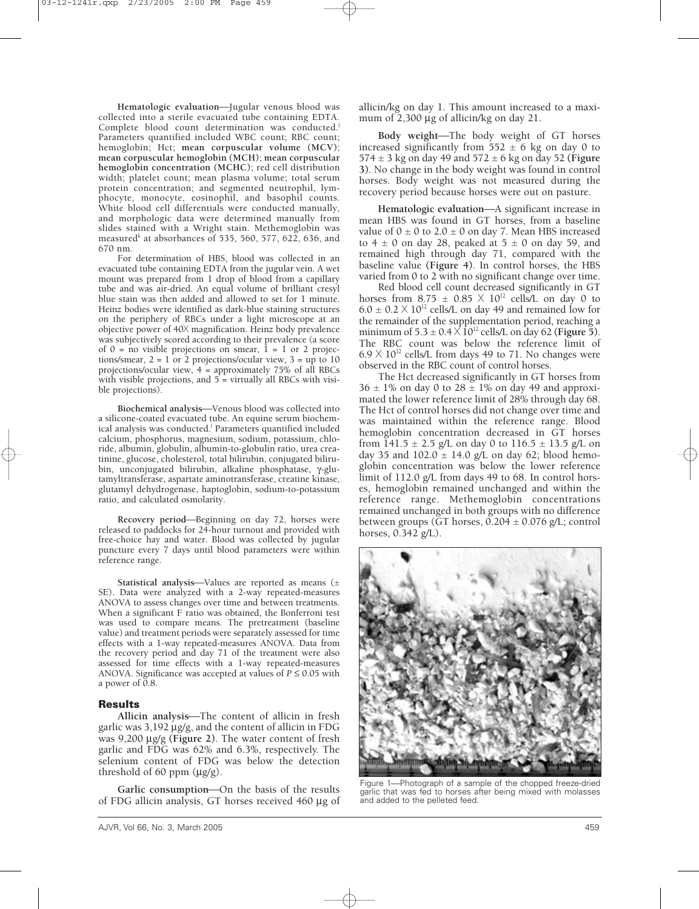Hematologic evaluation-Jugular venous blood was collected into a sterile evacuated tube containing EDTA. Complete blood count determination was conducted.<sup>j</sup> Parameters quantified included WBC count; RBC count; hemoglobin; Hct; **mean corpuscular volume (MCV)**; **mean corpuscular hemoglobin (MCH)**; **mean corpuscular hemoglobin concentration (MCHC)**; red cell distribution width; platelet count; mean plasma volume; total serum protein concentration; and segmented neutrophil, lymphocyte, monocyte, eosinophil, and basophil counts. White blood cell differentials were conducted manually, and morphologic data were determined manually from slides stained with a Wright stain. Methemoglobin was measured<sup>k</sup> at absorbances of 535, 560, 577, 622, 636, and 670 nm.

For determination of HBS, blood was collected in an evacuated tube containing EDTA from the jugular vein. A wet mount was prepared from 1 drop of blood from a capillary tube and was air-dried. An equal volume of brilliant cresyl blue stain was then added and allowed to set for 1 minute. Heinz bodies were identified as dark-blue staining structures on the periphery of RBCs under a light microscope at an objective power of 40X magnification. Heinz body prevalence was subjectively scored according to their prevalence (a score of  $0 =$  no visible projections on smear,  $1 = 1$  or 2 projections/smear,  $2 = 1$  or 2 projections/ocular view,  $3 = up to 10$ projections/ocular view, 4 = approximately 75% of all RBCs with visible projections, and  $5 =$  virtually all RBCs with visible projections).

**Biochemical analysis**—Venous blood was collected into a silicone-coated evacuated tube. An equine serum biochemical analysis was conducted.<sup>1</sup> Parameters quantified included calcium, phosphorus, magnesium, sodium, potassium, chloride, albumin, globulin, albumin-to-globulin ratio, urea creatinine, glucose, cholesterol, total bilirubin, conjugated bilirubin, unconjugated bilirubin, alkaline phosphatase, γ-glutamyltransferase, aspartate aminotransferase, creatine kinase, glutamyl dehydrogenase, haptoglobin, sodium-to-potassium ratio, and calculated osmolarity.

Recovery period-Beginning on day 72, horses were released to paddocks for 24-hour turnout and provided with free-choice hay and water. Blood was collected by jugular puncture every 7 days until blood parameters were within reference range.

Statistical analysis-Values are reported as means (± SE). Data were analyzed with a 2-way repeated-measures ANOVA to assess changes over time and between treatments. When a significant F ratio was obtained, the Bonferroni test was used to compare means. The pretreatment (baseline value) and treatment periods were separately assessed for time effects with a 1-way repeated-measures ANOVA. Data from the recovery period and day 71 of the treatment were also assessed for time effects with a 1-way repeated-measures ANOVA. Significance was accepted at values of  $P \leq 0.05$  with a power of 0.8.

### **Results**

Allicin analysis—The content of allicin in fresh garlic was 3,192 µg/g, and the content of allicin in FDG was 9,200 µg/g **(Figure 2)**. The water content of fresh garlic and FDG was 62% and 6.3%, respectively. The selenium content of FDG was below the detection threshold of 60 ppm  $(\mu g/g)$ .

Garlic consumption-On the basis of the results of FDG allicin analysis, GT horses received 460 µg of allicin/kg on day 1. This amount increased to a maximum of 2,300 μg of allicin/kg on day 21.

Body weight-The body weight of GT horses increased significantly from  $552 \pm 6$  kg on day 0 to 574 ± 3 kg on day 49 and 572 ± 6 kg on day 52 **(Figure 3)**. No change in the body weight was found in control horses. Body weight was not measured during the recovery period because horses were out on pasture.

**Hematologic evaluation—A** significant increase in mean HBS was found in GT horses, from a baseline value of  $0 \pm 0$  to  $2.0 \pm 0$  on day 7. Mean HBS increased to  $4 \pm 0$  on day 28, peaked at  $5 \pm 0$  on day 59, and remained high through day 71, compared with the baseline value **(Figure 4)**. In control horses, the HBS varied from 0 to 2 with no significant change over time.

Red blood cell count decreased significantly in GT horses from 8.75  $\pm$  0.85  $\times$  10<sup>12</sup> cells/L on day 0 to  $6.0 \pm 0.2 \times 10^{12}$  cells/L on day 49 and remained low for the remainder of the supplementation period, reaching a minimum of  $5.3 \pm 0.4 \times 10^{12}$  cells/L on day 62 (Figure 5). The RBC count was below the reference limit of  $6.9 \times 10^{12}$  cells/L from days 49 to 71. No changes were observed in the RBC count of control horses.

The Hct decreased significantly in GT horses from  $36 \pm 1\%$  on day 0 to  $28 \pm 1\%$  on day 49 and approximated the lower reference limit of 28% through day 68. The Hct of control horses did not change over time and was maintained within the reference range. Blood hemoglobin concentration decreased in GT horses from  $141.5 \pm 2.5$  g/L on day 0 to  $116.5 \pm 13.5$  g/L on day 35 and  $102.0 \pm 14.0$  g/L on day 62; blood hemoglobin concentration was below the lower reference limit of 112.0 g/L from days 49 to 68. In control horses, hemoglobin remained unchanged and within the reference range. Methemoglobin concentrations remained unchanged in both groups with no difference between groups (GT horses,  $0.204 \pm 0.076$  g/L; control horses, 0.342 g/L).

Figure 1-Photograph of a sample of the chopped freeze-dried garlic that was fed to horses after being mixed with molasses and added to the pelleted feed.

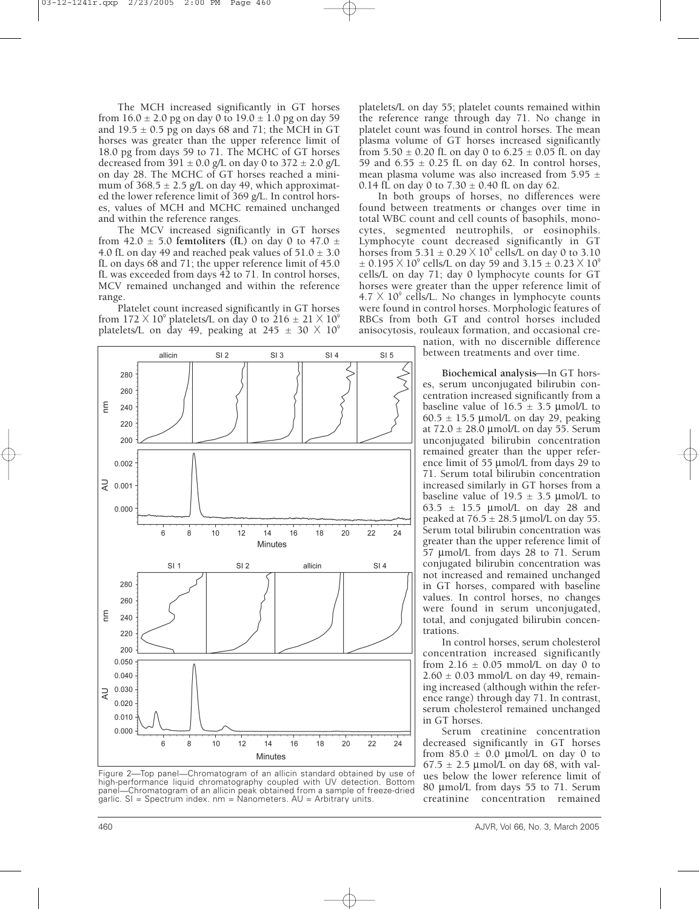The MCH increased significantly in GT horses from  $16.0 \pm 2.0$  pg on day 0 to  $19.0 \pm 1.0$  pg on day 59 and  $19.5 \pm 0.5$  pg on days 68 and 71; the MCH in GT horses was greater than the upper reference limit of 18.0 pg from days 59 to 71. The MCHC of GT horses decreased from 391  $\pm$  0.0 g/L on day 0 to 372  $\pm$  2.0 g/L on day 28. The MCHC of GT horses reached a minimum of  $368.5 \pm 2.5$  g/L on day 49, which approximated the lower reference limit of 369 g/L. In control horses, values of MCH and MCHC remained unchanged and within the reference ranges.

The MCV increased significantly in GT horses from 42.0  $\pm$  5.0 **femtoliters** (fL) on day 0 to 47.0  $\pm$ 4.0 fL on day 49 and reached peak values of  $51.0 \pm 3.0$ fL on days 68 and 71; the upper reference limit of 45.0 fL was exceeded from days 42 to 71. In control horses, MCV remained unchanged and within the reference range.

Platelet count increased significantly in GT horses from  $172 \times 10^9$  platelets/L on day 0 to  $216 \pm 21 \times 10^9$ platelets/L on day 49, peaking at 245  $\pm$  30  $\times$  10<sup>9</sup>



Figure 2-Top panel-Chromatogram of an allicin standard obtained by use of high-performance liquid chromatography coupled with UV detection. Bottom panel—Chromatogram of an allicin peak obtained from a sample of freeze-dried garlic. SI = Spectrum index. nm = Nanometers. AU = Arbitrary units.

platelets/L on day 55; platelet counts remained within the reference range through day 71. No change in platelet count was found in control horses. The mean plasma volume of GT horses increased significantly from 5.50  $\pm$  0.20 fL on day 0 to 6.25  $\pm$  0.05 fL on day 59 and  $6.55 \pm 0.25$  fL on day 62. In control horses, mean plasma volume was also increased from 5.95  $\pm$ 0.14 fL on day 0 to  $7.30 \pm 0.40$  fL on day 62.

In both groups of horses, no differences were found between treatments or changes over time in total WBC count and cell counts of basophils, monocytes, segmented neutrophils, or eosinophils. Lymphocyte count decreased significantly in GT horses from  $5.31 \pm 0.29 \times 10^9$  cells/L on day 0 to 3.10  $\pm$  0.195  $\times$  10<sup>9</sup> cells/L on day 59 and 3.15  $\pm$  0.23  $\times$  10<sup>9</sup> cells/L on day 71; day 0 lymphocyte counts for GT horses were greater than the upper reference limit of  $4.7 \times 10^9$  cells/L. No changes in lymphocyte counts were found in control horses. Morphologic features of RBCs from both GT and control horses included anisocytosis, rouleaux formation, and occasional cre-

nation, with no discernible difference between treatments and over time.

**Biochemical analysis**—In GT horses, serum unconjugated bilirubin concentration increased significantly from a baseline value of  $16.5 \pm 3.5$  µmol/L to  $60.5 \pm 15.5$  µmol/L on day 29, peaking at  $72.0 \pm 28.0$  µmol/L on day 55. Serum unconjugated bilirubin concentration remained greater than the upper reference limit of 55 µmol/L from days 29 to 71. Serum total bilirubin concentration increased similarly in GT horses from a baseline value of  $19.5 \pm 3.5$  µmol/L to 63.5  $\pm$  15.5 µmol/L on day 28 and peaked at  $76.5 \pm 28.5 \,\text{\mu}$  mol/L on day 55. Serum total bilirubin concentration was greater than the upper reference limit of 57 µmol/L from days 28 to 71. Serum conjugated bilirubin concentration was not increased and remained unchanged in GT horses, compared with baseline values. In control horses, no changes were found in serum unconjugated, total, and conjugated bilirubin concentrations.

In control horses, serum cholesterol concentration increased significantly from  $2.16 \pm 0.05$  mmol/L on day 0 to  $2.60 \pm 0.03$  mmol/L on day 49, remaining increased (although within the reference range) through day 71. In contrast, serum cholesterol remained unchanged in GT horses.

Serum creatinine concentration decreased significantly in GT horses from  $85.0 \pm 0.0$  µmol/L on day 0 to  $67.5 \pm 2.5$  µmol/L on day 68, with values below the lower reference limit of 80 µmol/L from days 55 to 71. Serum creatinine concentration remained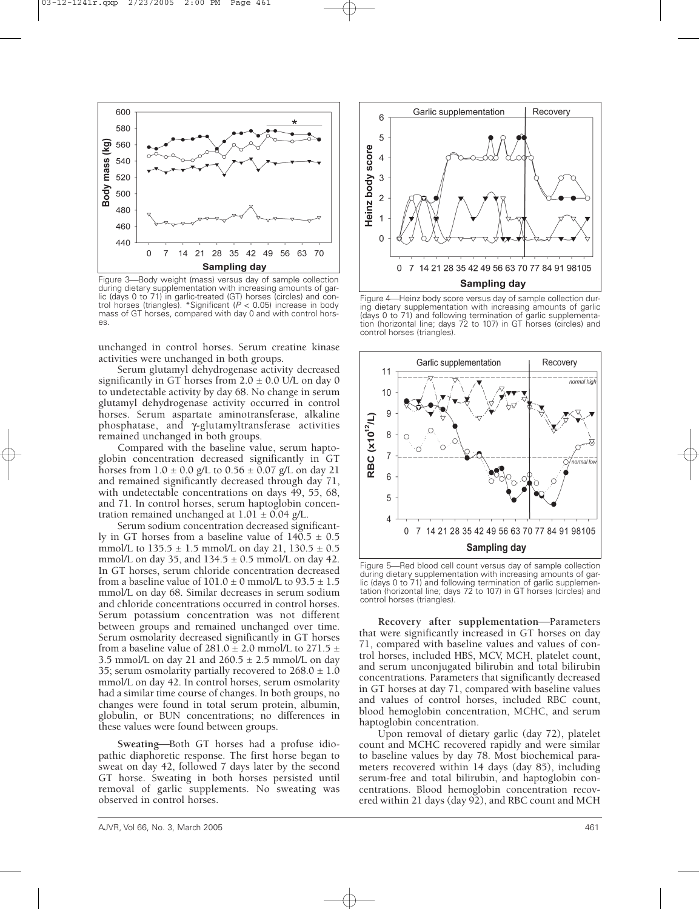

Figure 3—Body weight (mass) versus day of sample collection during dietary supplementation with increasing amounts of garlic (days 0 to 71) in garlic-treated (GT) horses (circles) and control horses (triangles). \*Significant (P < 0.05) increase in body mass of GT horses, compared with day 0 and with control horses.

unchanged in control horses. Serum creatine kinase activities were unchanged in both groups.

Serum glutamyl dehydrogenase activity decreased significantly in GT horses from  $2.0 \pm 0.0$  U/L on day 0 to undetectable activity by day 68. No change in serum glutamyl dehydrogenase activity occurred in control horses. Serum aspartate aminotransferase, alkaline phosphatase, and γ-glutamyltransferase activities remained unchanged in both groups.

Compared with the baseline value, serum haptoglobin concentration decreased significantly in GT horses from  $1.0 \pm 0.0$  g/L to  $0.56 \pm 0.07$  g/L on day 21 and remained significantly decreased through day 71, with undetectable concentrations on days 49, 55, 68, and 71. In control horses, serum haptoglobin concentration remained unchanged at  $1.01 \pm 0.04$  g/L.

Serum sodium concentration decreased significantly in GT horses from a baseline value of  $140.5 \pm 0.5$ mmol/L to  $135.5 \pm 1.5$  mmol/L on day 21,  $130.5 \pm 0.5$ mmol/L on day 35, and  $134.5 \pm 0.5$  mmol/L on day 42. In GT horses, serum chloride concentration decreased from a baseline value of  $101.0 \pm 0$  mmol/L to  $93.5 \pm 1.5$ mmol/L on day 68. Similar decreases in serum sodium and chloride concentrations occurred in control horses. Serum potassium concentration was not different between groups and remained unchanged over time. Serum osmolarity decreased significantly in GT horses from a baseline value of  $281.0 \pm 2.0$  mmol/L to  $271.5 \pm$ 3.5 mmol/L on day 21 and  $260.5 \pm 2.5$  mmol/L on day 35; serum osmolarity partially recovered to  $268.0 \pm 1.0$ mmol/L on day 42. In control horses, serum osmolarity had a similar time course of changes. In both groups, no changes were found in total serum protein, albumin, globulin, or BUN concentrations; no differences in these values were found between groups.

**Sweating—Both GT horses had a profuse idio**pathic diaphoretic response. The first horse began to sweat on day 42, followed 7 days later by the second GT horse. Sweating in both horses persisted until removal of garlic supplements. No sweating was observed in control horses.



Figure 4—Heinz body score versus day of sample collection during dietary supplementation with increasing amounts of garlic (days 0 to 71) and following termination of garlic supplementation (horizontal line; days 72 to 107) in GT horses (circles) and control horses (triangles).



Figure 5-Red blood cell count versus day of sample collection during dietary supplementation with increasing amounts of garlic (days 0 to 71) and following termination of garlic supplementation (horizontal line; days 72 to 107) in GT horses (circles) and control horses (triangles).

**Recovery after supplementation—Parameters** that were significantly increased in GT horses on day 71, compared with baseline values and values of control horses, included HBS, MCV, MCH, platelet count, and serum unconjugated bilirubin and total bilirubin concentrations. Parameters that significantly decreased in GT horses at day 71, compared with baseline values and values of control horses, included RBC count, blood hemoglobin concentration, MCHC, and serum haptoglobin concentration.

Upon removal of dietary garlic (day 72), platelet count and MCHC recovered rapidly and were similar to baseline values by day 78. Most biochemical parameters recovered within 14 days (day 85), including serum-free and total bilirubin, and haptoglobin concentrations. Blood hemoglobin concentration recovered within 21 days (day 92), and RBC count and MCH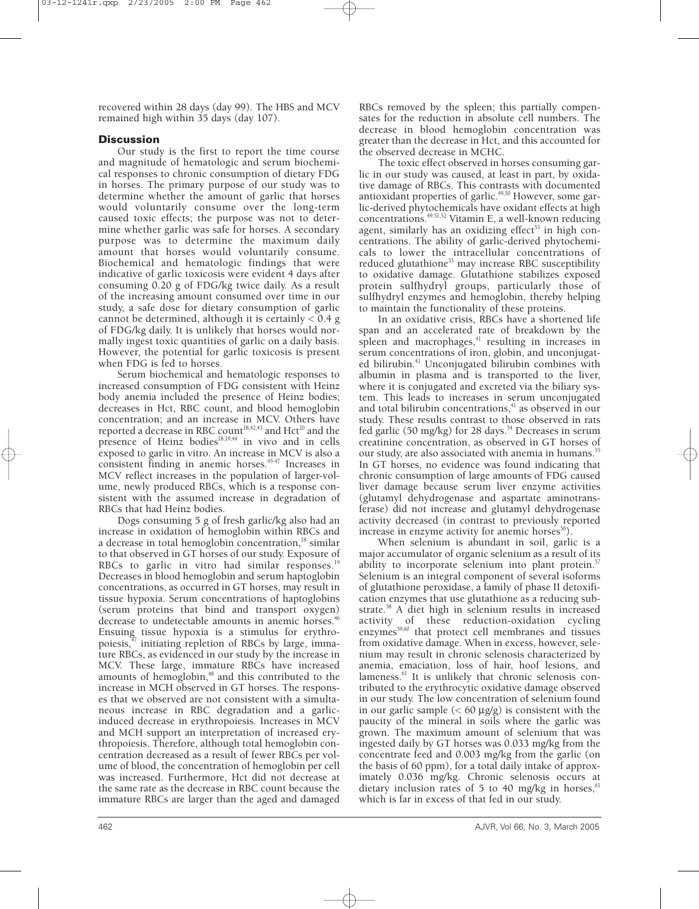recovered within 28 days (day 99). The HBS and MCV remained high within 35 days (day 107).

## **Discussion**

Our study is the first to report the time course and magnitude of hematologic and serum biochemical responses to chronic consumption of dietary FDG in horses. The primary purpose of our study was to determine whether the amount of garlic that horses would voluntarily consume over the long-term caused toxic effects; the purpose was not to determine whether garlic was safe for horses. A secondary purpose was to determine the maximum daily amount that horses would voluntarily consume. Biochemical and hematologic findings that were indicative of garlic toxicosis were evident 4 days after consuming 0.20 g of FDG/kg twice daily. As a result of the increasing amount consumed over time in our study, a safe dose for dietary consumption of garlic cannot be determined, although it is certainly  $< 0.4$  g of FDG/kg daily. It is unlikely that horses would normally ingest toxic quantities of garlic on a daily basis. However, the potential for garlic toxicosis is present when FDG is fed to horses.

Serum biochemical and hematologic responses to increased consumption of FDG consistent with Heinz body anemia included the presence of Heinz bodies; decreases in Hct, RBC count, and blood hemoglobin concentration; and an increase in MCV. Others have reported a decrease in RBC count<sup>18,42,43</sup> and Hct<sup>20</sup> and the presence of Heinz bodies $18,19,44$  in vivo and in cells exposed to garlic in vitro. An increase in MCV is also a consistent finding in anemic horses.<sup>45-47</sup> Increases in MCV reflect increases in the population of larger-volume, newly produced RBCs, which is a response consistent with the assumed increase in degradation of RBCs that had Heinz bodies.

Dogs consuming 5 g of fresh garlic/kg also had an increase in oxidation of hemoglobin within RBCs and a decrease in total hemoglobin concentration,<sup>18</sup> similar to that observed in GT horses of our study. Exposure of RBCs to garlic in vitro had similar responses.<sup>19</sup> Decreases in blood hemoglobin and serum haptoglobin concentrations, as occurred in GT horses, may result in tissue hypoxia. Serum concentrations of haptoglobins (serum proteins that bind and transport oxygen) decrease to undetectable amounts in anemic horses.<sup>46</sup> Ensuing tissue hypoxia is a stimulus for erythropoiesis,47 initiating repletion of RBCs by large, immature RBCs, as evidenced in our study by the increase in MCV. These large, immature RBCs have increased amounts of hemoglobin,<sup>48</sup> and this contributed to the increase in MCH observed in GT horses. The responses that we observed are not consistent with a simultaneous increase in RBC degradation and a garlicinduced decrease in erythropoiesis. Increases in MCV and MCH support an interpretation of increased erythropoiesis. Therefore, although total hemoglobin concentration decreased as a result of fewer RBCs per volume of blood, the concentration of hemoglobin per cell was increased. Furthermore, Hct did not decrease at the same rate as the decrease in RBC count because the immature RBCs are larger than the aged and damaged

RBCs removed by the spleen; this partially compensates for the reduction in absolute cell numbers. The decrease in blood hemoglobin concentration was greater than the decrease in Hct, and this accounted for the observed decrease in MCHC.

The toxic effect observed in horses consuming garlic in our study was caused, at least in part, by oxidative damage of RBCs. This contrasts with documented antioxidant properties of garlic.<sup>49,50</sup> However, some garlic-derived phytochemicals have oxidant effects at high concentrations.<sup>49,51,52</sup> Vitamin E, a well-known reducing agent, similarly has an oxidizing effect $53$  in high concentrations. The ability of garlic-derived phytochemicals to lower the intracellular concentrations of reduced glutathione<sup>33</sup> may increase RBC susceptibility to oxidative damage. Glutathione stabilizes exposed protein sulfhydryl groups, particularly those of sulfhydryl enzymes and hemoglobin, thereby helping to maintain the functionality of these proteins.

In an oxidative crisis, RBCs have a shortened life span and an accelerated rate of breakdown by the spleen and macrophages, $41$  resulting in increases in serum concentrations of iron, globin, and unconjugated bilirubin.<sup>41</sup> Unconjugated bilirubin combines with albumin in plasma and is transported to the liver, where it is conjugated and excreted via the biliary system. This leads to increases in serum unconjugated and total bilirubin concentrations, $41$  as observed in our study. These results contrast to those observed in rats fed garlic (50 mg/kg) for 28 days.<sup>54</sup> Decreases in serum creatinine concentration, as observed in GT horses of our study, are also associated with anemia in humans.<sup>5</sup> In GT horses, no evidence was found indicating that chronic consumption of large amounts of FDG caused liver damage because serum liver enzyme activities (glutamyl dehydrogenase and aspartate aminotransferase) did not increase and glutamyl dehydrogenase activity decreased (in contrast to previously reported increase in enzyme activity for anemic horses $56$ ).

When selenium is abundant in soil, garlic is a major accumulator of organic selenium as a result of its ability to incorporate selenium into plant protein.<sup>57</sup> Selenium is an integral component of several isoforms of glutathione peroxidase, a family of phase II detoxification enzymes that use glutathione as a reducing substrate.58 A diet high in selenium results in increased activity of these reduction-oxidation cycling enzymes<sup>59,60</sup> that protect cell membranes and tissues from oxidative damage. When in excess, however, selenium may result in chronic selenosis characterized by anemia, emaciation, loss of hair, hoof lesions, and lameness. $61$  It is unlikely that chronic selenosis contributed to the erythrocytic oxidative damage observed in our study. The low concentration of selenium found in our garlic sample  $(< 60 \mu g/g)$  is consistent with the paucity of the mineral in soils where the garlic was grown. The maximum amount of selenium that was ingested daily by GT horses was 0.033 mg/kg from the concentrate feed and 0.003 mg/kg from the garlic (on the basis of 60 ppm), for a total daily intake of approximately 0.036 mg/kg. Chronic selenosis occurs at dietary inclusion rates of 5 to 40 mg/kg in horses, $6$ which is far in excess of that fed in our study.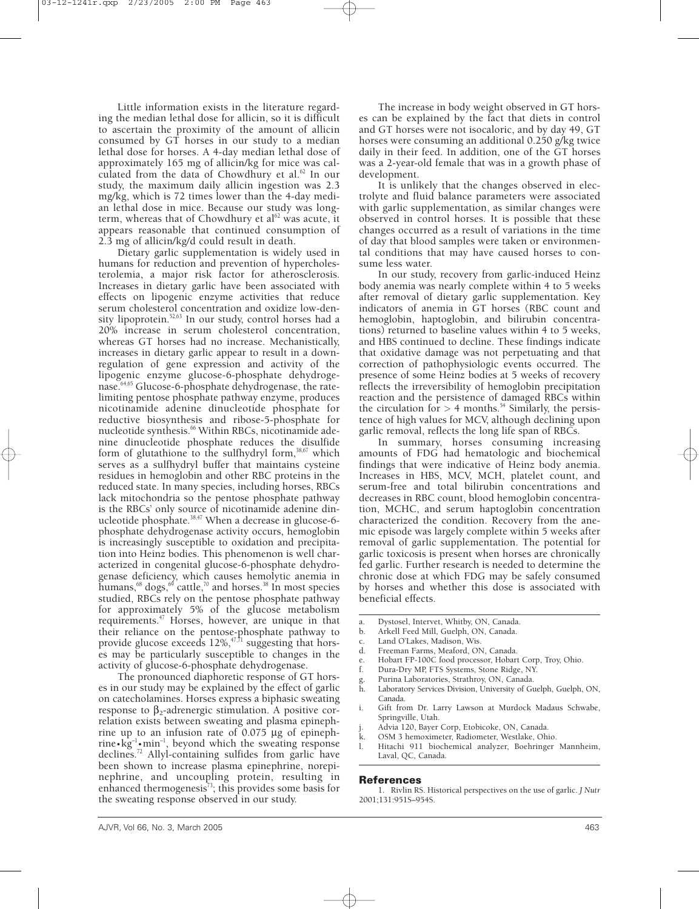Little information exists in the literature regarding the median lethal dose for allicin, so it is difficult to ascertain the proximity of the amount of allicin consumed by GT horses in our study to a median lethal dose for horses. A 4-day median lethal dose of approximately 165 mg of allicin/kg for mice was calculated from the data of Chowdhury et al.<sup>62</sup> In our study, the maximum daily allicin ingestion was 2.3 mg/kg, which is 72 times lower than the 4-day median lethal dose in mice. Because our study was longterm, whereas that of Chowdhury et  $al^{62}$  was acute, it appears reasonable that continued consumption of 2.3 mg of allicin/kg/d could result in death.

Dietary garlic supplementation is widely used in humans for reduction and prevention of hypercholesterolemia, a major risk factor for atherosclerosis. Increases in dietary garlic have been associated with effects on lipogenic enzyme activities that reduce serum cholesterol concentration and oxidize low-density lipoprotein.<sup>52,63</sup> In our study, control horses had a 20% increase in serum cholesterol concentration, whereas GT horses had no increase. Mechanistically, increases in dietary garlic appear to result in a downregulation of gene expression and activity of the lipogenic enzyme glucose-6-phosphate dehydrogenase.<sup>64,65</sup> Glucose-6-phosphate dehydrogenase, the ratelimiting pentose phosphate pathway enzyme, produces nicotinamide adenine dinucleotide phosphate for reductive biosynthesis and ribose-5-phosphate for nucleotide synthesis.<sup>66</sup> Within RBCs, nicotinamide adenine dinucleotide phosphate reduces the disulfide form of glutathione to the sulfhydryl form,<sup>38,67</sup> which serves as a sulfhydryl buffer that maintains cysteine residues in hemoglobin and other RBC proteins in the reduced state. In many species, including horses, RBCs lack mitochondria so the pentose phosphate pathway is the RBCs' only source of nicotinamide adenine dinucleotide phosphate.38,47 When a decrease in glucose-6 phosphate dehydrogenase activity occurs, hemoglobin is increasingly susceptible to oxidation and precipitation into Heinz bodies. This phenomenon is well characterized in congenital glucose-6-phosphate dehydrogenase deficiency, which causes hemolytic anemia in humans, $^{68}$  dogs, $^{69}$  cattle, $^{70}$  and horses. $^{38}$  In most species studied, RBCs rely on the pentose phosphate pathway for approximately 5% of the glucose metabolism requirements. $47$  Horses, however, are unique in that their reliance on the pentose-phosphate pathway to provide glucose exceeds  $12\%, ^{47,71}$  suggesting that horses may be particularly susceptible to changes in the activity of glucose-6-phosphate dehydrogenase.

The pronounced diaphoretic response of GT horses in our study may be explained by the effect of garlic on catecholamines. Horses express a biphasic sweating response to  $β_2$ -adrenergic stimulation. A positive correlation exists between sweating and plasma epinephrine up to an infusion rate of 0.075 µg of epinephrine ap a an integral matrice of  $\cos 3$  and which the sweating response<br>declines<sup>72</sup> Allyl containing sulfides from grilic have declines.72 Allyl-containing sulfides from garlic have been shown to increase plasma epinephrine, norepinephrine, and uncoupling protein, resulting in enhanced thermogenesis<sup> $73$ </sup>; this provides some basis for the sweating response observed in our study.

The increase in body weight observed in GT horses can be explained by the fact that diets in control and GT horses were not isocaloric, and by day 49, GT horses were consuming an additional 0.250 g/kg twice daily in their feed. In addition, one of the GT horses was a 2-year-old female that was in a growth phase of development.

It is unlikely that the changes observed in electrolyte and fluid balance parameters were associated with garlic supplementation, as similar changes were observed in control horses. It is possible that these changes occurred as a result of variations in the time of day that blood samples were taken or environmental conditions that may have caused horses to consume less water.

In our study, recovery from garlic-induced Heinz body anemia was nearly complete within 4 to 5 weeks after removal of dietary garlic supplementation. Key indicators of anemia in GT horses (RBC count and hemoglobin, haptoglobin, and bilirubin concentrations) returned to baseline values within 4 to 5 weeks, and HBS continued to decline. These findings indicate that oxidative damage was not perpetuating and that correction of pathophysiologic events occurred. The presence of some Heinz bodies at 5 weeks of recovery reflects the irreversibility of hemoglobin precipitation reaction and the persistence of damaged RBCs within the circulation for  $> 4$  months.<sup>54</sup> Similarly, the persistence of high values for MCV, although declining upon garlic removal, reflects the long life span of RBCs.

In summary, horses consuming increasing amounts of FDG had hematologic and biochemical findings that were indicative of Heinz body anemia. Increases in HBS, MCV, MCH, platelet count, and serum-free and total bilirubin concentrations and decreases in RBC count, blood hemoglobin concentration, MCHC, and serum haptoglobin concentration characterized the condition. Recovery from the anemic episode was largely complete within 5 weeks after removal of garlic supplementation. The potential for garlic toxicosis is present when horses are chronically fed garlic. Further research is needed to determine the chronic dose at which FDG may be safely consumed by horses and whether this dose is associated with beneficial effects.

- a. Dystosel, Intervet, Whitby, ON, Canada.
- b. Arkell Feed Mill, Guelph, ON, Canada.
- c. Land O'Lakes, Madison, Wis.
- Freeman Farms, Meaford, ON, Canada.
- e. Hobart FP-100C food processor, Hobart Corp, Troy, Ohio.
- f. Dura-Dry MP, FTS Systems, Stone Ridge, NY.
- g. Purina Laboratories, Strathroy, ON, Canada.
- Laboratory Services Division, University of Guelph, Guelph, ON, Canada.
- Gift from Dr. Larry Lawson at Murdock Madaus Schwabe, Springville, Utah.
- Advia 120, Bayer Corp, Etobicoke, ON, Canada.
- OSM 3 hemoximeter, Radiometer, Westlake, Ohio.
- l. Hitachi 911 biochemical analyzer, Boehringer Mannheim, Laval, QC, Canada.

### **References**

1. Rivlin RS. Historical perspectives on the use of garlic. *J Nutr* 2001;131:951S–954S.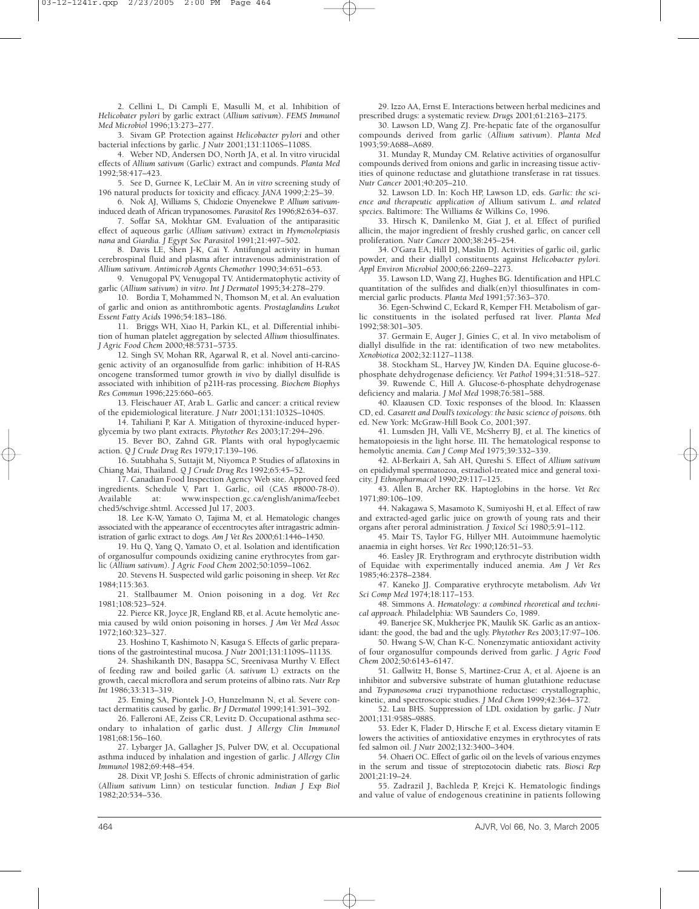2. Cellini L, Di Campli E, Masulli M, et al. Inhibition of *Helicobater pylori* by garlic extract (*Allium sativum*). *FEMS Immunol Med Microbiol* 1996;13:273–277.

3. Sivam GP. Protection against *Helicobacter pylori* and other bacterial infections by garlic. *J Nutr* 2001;131:1106S–1108S.

4. Weber ND, Andersen DO, North JA, et al. In vitro virucidal effects of *Allium sativum* (Garlic) extract and compunds. *Planta Med* 1992;58:417–423.

5. See D, Gurnee K, LeClair M. An *in vitro* screening study of 196 natural products for toxicity and efficacy. *JANA* 1999;2:25–39.

6. Nok AJ, Williams S, Chidozie Onyenekwe P. *Allium sativum*induced death of African trypanosomes. *Parasitol Res* 1996;82:634–637.

7. Soffar SA, Mokhtar GM. Evaluation of the antiparasitic effect of aqueous garlic (*Allium sativum*) extract in *Hymenolepiasis nana* and *Giardia. J Egypt Soc Parasitol* 1991;21:497–502.

8. Davis LE, Shen J-K, Cai Y. Antifungal activity in human cerebrospinal fluid and plasma after intravenous administration of *Allium sativum*. *Antimicrob Agents Chemother* 1990;34:651–653.

9. Venugopal PV, Venugopal TV. Antidermatophytic activity of garlic (*Allium sativum*) *in vitro*. *Int J Dermatol* 1995;34:278–279.

10. Bordia T, Mohammed N, Thomson M, et al. An evaluation of garlic and onion as antithrombotic agents. *Prostaglandins Leukot Essent Fatty Acids* 1996;54:183–186.

11. Briggs WH, Xiao H, Parkin KL, et al. Differential inhibition of human platelet aggregation by selected *Allium* thiosulfinates. *J Agric Food Chem* 2000;48:5731–5735.

12. Singh SV, Mohan RR, Agarwal R, et al. Novel anti-carcinogenic activity of an organosulfide from garlic: inhibition of H-RAS oncogene transformed tumor growth *in viv*o by diallyl disulfide is associated with inhibition of p21H-ras processing. *Biochem Biophys Res Commun* 1996;225:660–665.

13. Fleischauer AT, Arab L. Garlic and cancer: a critical review of the epidemiological literature. *J Nutr* 2001;131:1032S–1040S.

14. Tahiliani P, Kar A. Mitigation of thyroxine-induced hyperglycemia by two plant extracts. *Phytother Res* 2003;17:294–296.

15. Bever BO, Zahnd GR. Plants with oral hypoglycaemic action. *Q J Crude Drug Res* 1979;17:139–196.

16. Sutabhaha S, Suttajit M, Niyomca P. Studies of aflatoxins in Chiang Mai, Thailand. *Q J Crude Drug Res* 1992;65:45–52.

17. Canadian Food Inspection Agency Web site. Approved feed ingredients. Schedule V, Part 1. Garlic, oil (CAS #8000-78-0). Available at: www.inspection.gc.ca/english/anima/feebet ched5/schvige.shtml. Accessed Jul 17, 2003.

18. Lee K-W, Yamato O, Tajima M, et al. Hematologic changes associated with the appearance of eccentrocytes after intragastric administration of garlic extract to dogs*. Am J Vet Res* 2000;61:1446–1450.

19. Hu Q, Yang Q, Yamato O, et al. Isolation and identification of organosulfur compounds oxidizing canine erythrocytes from garlic (*Allium sativum*). *J Agric Food Chem* 2002;50:1059–1062.

20. Stevens H. Suspected wild garlic poisoning in sheep. *Vet Rec* 1984;115:363.

21. Stallbaumer M. Onion poisoning in a dog. *Vet Rec* 1981;108:523–524.

22. Pierce KR, Joyce JR, England RB, et al. Acute hemolytic anemia caused by wild onion poisoning in horses. *J Am Vet Med Assoc* 1972;160:323–327.

23. Hoshino T, Kashimoto N, Kasuga S. Effects of garlic preparations of the gastrointestinal mucosa. *J Nutr* 2001;131:1109S–1113S.

24. Shashikanth DN, Basappa SC, Sreenivasa Murthy V. Effect of feeding raw and boiled garlic (*A. sativum* L) extracts on the growth, caecal microflora and serum proteins of albino rats. *Nutr Rep Int* 1986;33:313–319.

25. Eming SA, Piontek J-O, Hunzelmann N, et al. Severe contact dermatitis caused by garlic. *Br J Dermatol* 1999;141:391–392.

26. Falleroni AE, Zeiss CR, Levitz D. Occupational asthma secondary to inhalation of garlic dust. *J Allergy Clin Immunol* 1981;68:156–160.

27. Lybarger JA, Gallagher JS, Pulver DW, et al. Occupational asthma induced by inhalation and ingestion of garlic. *J Allergy Clin Immunol* 1982;69:448–454.

28. Dixit VP, Joshi S. Effects of chronic administration of garlic (*Allium sativum* Linn) on testicular function. *Indian J Exp Biol* 1982;20:534–536.

29. Izzo AA, Ernst E. Interactions between herbal medicines and prescribed drugs: a systematic review. *Drugs* 2001;61:2163–2175.

30. Lawson LD, Wang ZJ. Pre-hepatic fate of the organosulfur compounds derived from garlic (*Allium sativum*). *Planta Med* 1993;59:A688–A689.

31. Munday R, Munday CM. Relative activities of organosulfur compounds derived from onions and garlic in increasing tissue activities of quinone reductase and glutathione transferase in rat tissues. *Nutr Cancer* 2001;40:205–210.

32. Lawson LD. In: Koch HP, Lawson LD, eds. *Garlic: the science and therapeutic application of* Allium sativum *L*. *and related species*. Baltimore: The Williams & Wilkins Co, 1996.

33. Hirsch K, Danilenko M, Giat J, et al. Effect of purified allicin, the major ingredient of freshly crushed garlic, on cancer cell proliferation. *Nutr Cancer* 2000;38:245–254.

34. O'Gara EA, Hill DJ, Maslin DJ. Activities of garlic oil, garlic powder, and their diallyl constituents against *Helicobacter pylori. Appl Environ Microbiol* 2000;66:2269–2273.

35. Lawson LD, Wang ZJ, Hughes BG. Identification and HPLC quantitation of the sulfides and dialk(en)yl thiosulfinates in commercial garlic products. *Planta Med* 1991;57:363–370.

36. Egen-Schwind C, Eckard R, Kemper FH. Metabolism of garlic constituents in the isolated perfused rat liver. *Planta Med* 1992;58:301–305.

37. Germain E, Auger J, Ginies C, et al. In vivo metabolism of diallyl disulfide in the rat: identification of two new metabolites. *Xenobiotica* 2002;32:1127–1138.

38. Stockham SL, Harvey JW, Kinden DA. Equine glucose-6 phosphate dehydrogenase deficiency. *Vet Pathol* 1994;31:518–527.

39. Ruwende C, Hill A. Glucose-6-phosphate dehydrogenase deficiency and malaria. *J Mol Med* 1998;76:581–588.

40. Klaausen CD. Toxic responses of the blood. In: Klaassen CD, ed. C*asarett and Doull's toxicology: the basic science of poisons*. 6th ed. New York: McGraw-Hill Book Co, 2001;397.

41. Lumsden JH, Valli VE, McSherry BJ, et al. The kinetics of hematopoiesis in the light horse. III. The hematological response to hemolytic anemia. *Can J Comp Med* 1975;39:332–339.

42. Al-Berkairi A, Sah AH, Qureshi S. Effect of *Allium sativum* on epididymal spermatozoa, estradiol-treated mice and general toxicity. *J Ethnopharmacol* 1990;29:117–125.

43. Allen B, Archer RK. Haptoglobins in the horse. *Vet Rec* 1971;89:106–109.

44. Nakagawa S, Masamoto K, Sumiyoshi H, et al. Effect of raw and extracted-aged garlic juice on growth of young rats and their organs after peroral administration*. J Toxicol Sci* 1980;5:91–112.

45. Mair TS, Taylor FG, Hillyer MH. Autoimmune haemolytic anaemia in eight horses. *Vet Rec* 1990;126:51–53.

46. Easley JR. Erythrogram and erythrocyte distribution width of Equidae with experimentally induced anemia. *Am J Vet Res* 1985;46:2378–2384.

47. Kaneko JJ. Comparative erythrocyte metabolism. *Adv Vet Sci Comp Med* 1974;18:117–153.

48. Simmons A. *Hematology: a combined rheoretical and technical approach.* Philadelphia: WB Saunders Co, 1989.

49. Banerjee SK, Mukherjee PK, Maulik SK. Garlic as an antioxidant: the good, the bad and the ugly. *Phytother Res* 2003;17:97–106.

50. Hwang S-W, Chan K-C. Nonenzymatic antioxidant activity of four organosulfur compounds derived from garlic. *J Agric Food Chem* 2002;50:6143–6147.

51. Gallwitz H, Bonse S, Martinez-Cruz A, et al. Ajoene is an inhibitor and subversive substrate of human glutathione reductase and *Trypanosoma cruzi* trypanothione reductase: crystallographic, kinetic, and spectroscopic studies. *J Med Chem* 1999;42:364–372.

52. Lau BHS. Suppression of LDL oxidation by garlic. *J Nutr* 2001;131:958S–988S.

53. Eder K, Flader D, Hirsche F, et al. Excess dietary vitamin E lowers the activities of antioxidative enzymes in erythrocytes of rats fed salmon oil. *J Nutr* 2002;132:3400–3404.

54. Ohaeri OC. Effect of garlic oil on the levels of various enzymes in the serum and tissue of streptozotocin diabetic rats. *Biosci Rep* 2001;21:19–24.

55. Zadrazil J, Bachleda P, Krejci K. Hematologic findings and value of value of endogenous creatinine in patients following